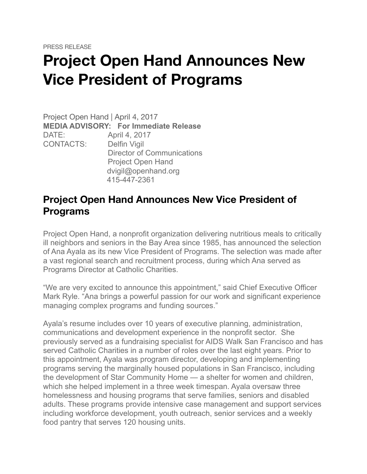## **Project Open Hand Announces New Vice President of Programs**

Project Open Hand | April 4, 2017 **MEDIA ADVISORY: For Immediate Release** DATE: April 4, 2017 CONTACTS: Delfin Vigil Director of Communications Project Open Hand dvigil@openhand.org 415-447-2361

## **Project Open Hand Announces New Vice President of Programs**

Project Open Hand, a nonprofit organization delivering nutritious meals to critically ill neighbors and seniors in the Bay Area since 1985, has announced the selection of Ana Ayala as its new Vice President of Programs. The selection was made after a vast regional search and recruitment process, during which Ana served as Programs Director at Catholic Charities.

"We are very excited to announce this appointment," said Chief Executive Officer Mark Ryle. "Ana brings a powerful passion for our work and significant experience managing complex programs and funding sources."

Ayala's resume includes over 10 years of executive planning, administration, communications and development experience in the nonprofit sector. She previously served as a fundraising specialist for AIDS Walk San Francisco and has served Catholic Charities in a number of roles over the last eight years. Prior to this appointment, Ayala was program director, developing and implementing programs serving the marginally housed populations in San Francisco, including the development of Star Community Home — a shelter for women and children, which she helped implement in a three week timespan. Ayala oversaw three homelessness and housing programs that serve families, seniors and disabled adults. These programs provide intensive case management and support services including workforce development, youth outreach, senior services and a weekly food pantry that serves 120 housing units.